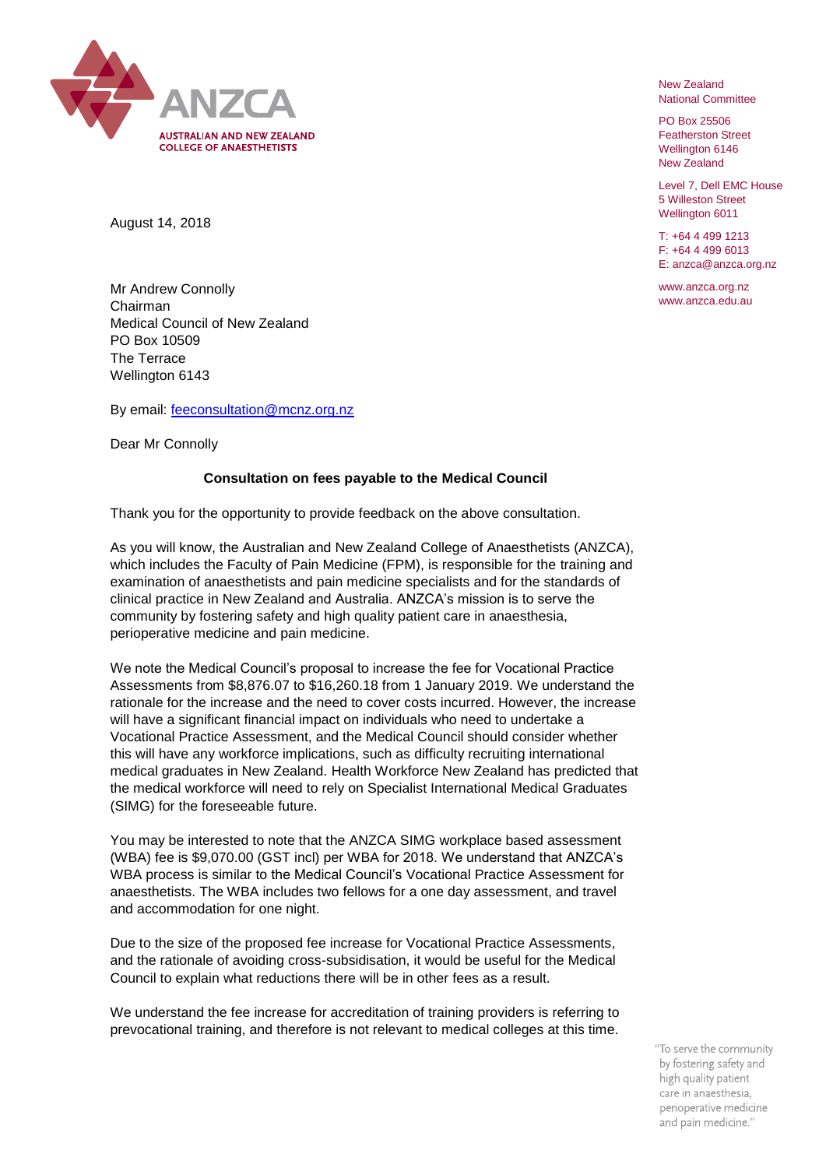

New Zealand National Committee

PO Box 25506 Featherston Street Wellington 6146 New Zealand

Level 7, Dell EMC House 5 Willeston Street Wellington 6011

T: +64 4 499 1213 F: +64 4 499 6013 E: anzca@anzca.org.nz

www.anzca.org.nz www.anzca.edu.au

August 14, 2018

Mr Andrew Connolly Chairman Medical Council of New Zealand PO Box 10509 The Terrace Wellington 6143

By email: [feeconsultation@mcnz.org.nz](mailto:feeconsultation@mcnz.org.nz)

Dear Mr Connolly

## **Consultation on fees payable to the Medical Council**

Thank you for the opportunity to provide feedback on the above consultation.

As you will know, the Australian and New Zealand College of Anaesthetists (ANZCA), which includes the Faculty of Pain Medicine (FPM), is responsible for the training and examination of anaesthetists and pain medicine specialists and for the standards of clinical practice in New Zealand and Australia. ANZCA's mission is to serve the community by fostering safety and high quality patient care in anaesthesia, perioperative medicine and pain medicine.

We note the Medical Council's proposal to increase the fee for Vocational Practice Assessments from \$8,876.07 to \$16,260.18 from 1 January 2019. We understand the rationale for the increase and the need to cover costs incurred. However, the increase will have a significant financial impact on individuals who need to undertake a Vocational Practice Assessment, and the Medical Council should consider whether this will have any workforce implications, such as difficulty recruiting international medical graduates in New Zealand. Health Workforce New Zealand has predicted that the medical workforce will need to rely on Specialist International Medical Graduates (SIMG) for the foreseeable future.

You may be interested to note that the ANZCA SIMG workplace based assessment (WBA) fee is \$9,070.00 (GST incl) per WBA for 2018. We understand that ANZCA's WBA process is similar to the Medical Council's Vocational Practice Assessment for anaesthetists. The WBA includes two fellows for a one day assessment, and travel and accommodation for one night.

Due to the size of the proposed fee increase for Vocational Practice Assessments, and the rationale of avoiding cross-subsidisation, it would be useful for the Medical Council to explain what reductions there will be in other fees as a result.

We understand the fee increase for accreditation of training providers is referring to prevocational training, and therefore is not relevant to medical colleges at this time.

> "To serve the community by fostering safety and high quality patient care in anaesthesia, perioperative medicine and pain medicine."